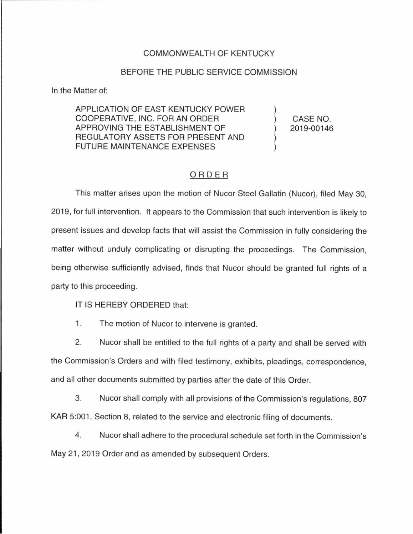## COMMONWEALTH OF KENTUCKY

## BEFORE THE PUBLIC SERVICE COMMISSION

In the Matter of:

APPLICATION OF EAST KENTUCKY POWER COOPERATIVE, INC. FOR AN ORDER APPROVING THE ESTABLISHMENT OF REGULATORY ASSETS FOR PRESENT AND FUTURE MAINTENANCE EXPENSES

) CASE NO. ) 2019-00146

)

) )

## ORDER

This matter arises upon the motion of Nucor Steel Gallatin (Nucor), filed May 30, 2019, for full intervention. It appears to the Commission that such intervention is likely to present issues and develop facts that will assist the Commission in fully considering the matter without unduly complicating or disrupting the proceedings. The Commission, being otherwise sufficiently advised, finds that Nucor should be granted full rights of a party to this proceeding.

IT IS HEREBY ORDERED that:

1. The motion of Nucor to intervene is granted.

2. Nucor shall be entitled to the full rights of a party and shall be served with the Commission's Orders and with filed testimony, exhibits, pleadings, correspondence, and all other documents submitted by parties after the date of this Order.

3. Nucor shall comply with all provisions of the Commission's regulations, 807 KAR 5:001, Section 8, related to the service and electronic filing of documents.

4. Nucor shall adhere to the procedural schedule set forth in the Commission's May 21, 2019 Order and as amended by subsequent Orders.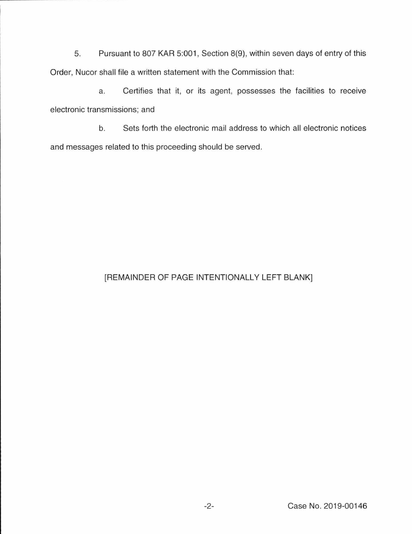5. Pursuant to 807 KAR 5:001, Section 8(9), within seven days of entry of this Order, Nucor shall file a written statement with the Commission that:

a. Certifies that it, or its agent, possesses the facilities to receive electronic transmissions; and

b. Sets forth the electronic mail address to which all electronic notices and messages related to this proceeding should be served.

## [REMAINDER OF PAGE INTENTIONALLY LEFT BLANK]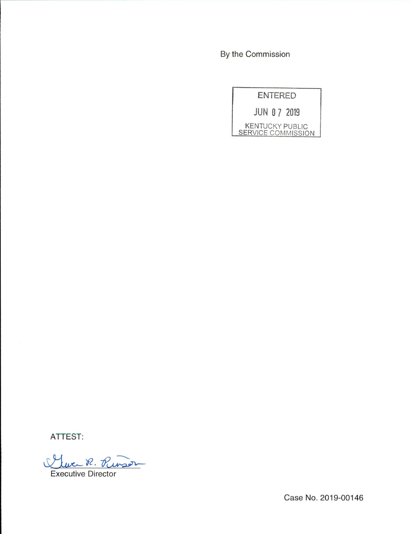By the Commission

|                    | <b>ENTERED</b> |                        |
|--------------------|----------------|------------------------|
| <b>JUN 07 2019</b> |                |                        |
| SERVICE COMMISSION |                | <b>KENTUCKY PUBLIC</b> |

ATTEST:

Cluc R. Punson

Case No. 2019-00146